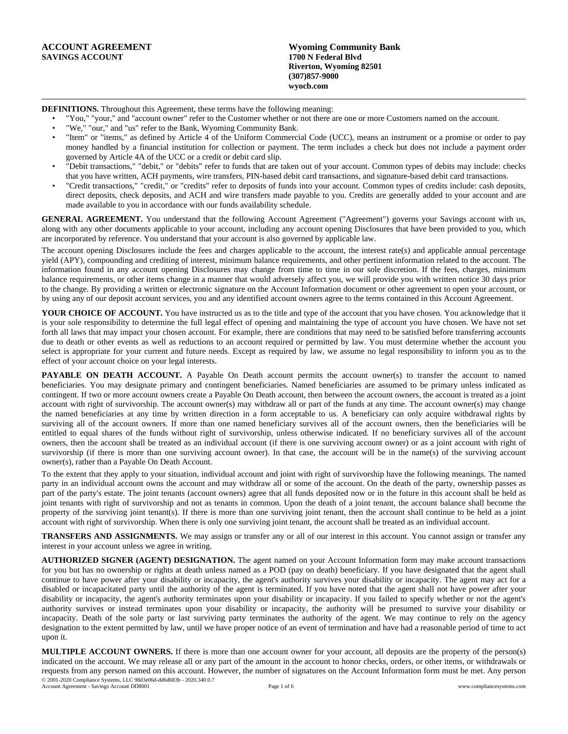| ACCOUNT AGREEMENT      | <b>Wyoming Community Bank</b> |  |
|------------------------|-------------------------------|--|
| <b>SAVINGS ACCOUNT</b> | 1700 N Federal Blyd           |  |
|                        | Riverton, Wyoming 82501       |  |
|                        | $(307)857 - 9000$             |  |
|                        | wyocb.com                     |  |

**DEFINITIONS.** Throughout this Agreement, these terms have the following meaning:

• "You," "your," and "account owner" refer to the Customer whether or not there are one or more Customers named on the account.

- "We," "our," and "us" refer to the Bank, Wyoming Community Bank.
- "Item" or "items," as defined by Article 4 of the Uniform Commercial Code (UCC), means an instrument or a promise or order to pay money handled by a financial institution for collection or payment. The term includes a check but does not include a payment order governed by Article 4A of the UCC or a credit or debit card slip.
- "Debit transactions," "debit," or "debits" refer to funds that are taken out of your account. Common types of debits may include: checks that you have written, ACH payments, wire transfers, PIN-based debit card transactions, and signature-based debit card transactions.
- "Credit transactions," "credit," or "credits" refer to deposits of funds into your account. Common types of credits include: cash deposits, direct deposits, check deposits, and ACH and wire transfers made payable to you. Credits are generally added to your account and are made available to you in accordance with our funds availability schedule.

**GENERAL AGREEMENT.** You understand that the following Account Agreement ("Agreement") governs your Savings account with us, along with any other documents applicable to your account, including any account opening Disclosures that have been provided to you, which are incorporated by reference. You understand that your account is also governed by applicable law.

The account opening Disclosures include the fees and charges applicable to the account, the interest rate(s) and applicable annual percentage yield (APY), compounding and crediting of interest, minimum balance requirements, and other pertinent information related to the account. The information found in any account opening Disclosures may change from time to time in our sole discretion. If the fees, charges, minimum balance requirements, or other items change in a manner that would adversely affect you, we will provide you with written notice 30 days prior to the change. By providing a written or electronic signature on the Account Information document or other agreement to open your account, or by using any of our deposit account services, you and any identified account owners agree to the terms contained in this Account Agreement.

**YOUR CHOICE OF ACCOUNT.** You have instructed us as to the title and type of the account that you have chosen. You acknowledge that it is your sole responsibility to determine the full legal effect of opening and maintaining the type of account you have chosen. We have not set forth all laws that may impact your chosen account. For example, there are conditions that may need to be satisfied before transferring accounts due to death or other events as well as reductions to an account required or permitted by law. You must determine whether the account you select is appropriate for your current and future needs. Except as required by law, we assume no legal responsibility to inform you as to the effect of your account choice on your legal interests.

**PAYABLE** ON DEATH ACCOUNT. A Payable On Death account permits the account owner(s) to transfer the account to named beneficiaries. You may designate primary and contingent beneficiaries. Named beneficiaries are assumed to be primary unless indicated as contingent. If two or more account owners create a Payable On Death account, then between the account owners, the account is treated as a joint account with right of survivorship. The account owner(s) may withdraw all or part of the funds at any time. The account owner(s) may change the named beneficiaries at any time by written direction in a form acceptable to us. A beneficiary can only acquire withdrawal rights by surviving all of the account owners. If more than one named beneficiary survives all of the account owners, then the beneficiaries will be entitled to equal shares of the funds without right of survivorship, unless otherwise indicated. If no beneficiary survives all of the account owners, then the account shall be treated as an individual account (if there is one surviving account owner) or as a joint account with right of survivorship (if there is more than one surviving account owner). In that case, the account will be in the name(s) of the surviving account owner(s), rather than a Payable On Death Account.

To the extent that they apply to your situation, individual account and joint with right of survivorship have the following meanings. The named party in an individual account owns the account and may withdraw all or some of the account. On the death of the party, ownership passes as part of the party's estate. The joint tenants (account owners) agree that all funds deposited now or in the future in this account shall be held as joint tenants with right of survivorship and not as tenants in common. Upon the death of a joint tenant, the account balance shall become the property of the surviving joint tenant(s). If there is more than one surviving joint tenant, then the account shall continue to be held as a joint account with right of survivorship. When there is only one surviving joint tenant, the account shall be treated as an individual account.

**TRANSFERS AND ASSIGNMENTS.** We may assign or transfer any or all of our interest in this account. You cannot assign or transfer any interest in your account unless we agree in writing.

**AUTHORIZED SIGNER (AGENT) DESIGNATION.** The agent named on your Account Information form may make account transactions for you but has no ownership or rights at death unless named as a POD (pay on death) beneficiary. If you have designated that the agent shall continue to have power after your disability or incapacity, the agent's authority survives your disability or incapacity. The agent may act for a disabled or incapacitated party until the authority of the agent is terminated. If you have noted that the agent shall not have power after your disability or incapacity, the agent's authority terminates upon your disability or incapacity. If you failed to specify whether or not the agent's authority survives or instead terminates upon your disability or incapacity, the authority will be presumed to survive your disability or incapacity. Death of the sole party or last surviving party terminates the authority of the agent. We may continue to rely on the agency designation to the extent permitted by law, until we have proper notice of an event of termination and have had a reasonable period of time to act upon it.

**MULTIPLE ACCOUNT OWNERS.** If there is more than one account owner for your account, all deposits are the property of the person(s) indicated on the account. We may release all or any part of the amount in the account to honor checks, orders, or other items, or withdrawals or requests from any person named on this account. However, the number of signatures on the Account Information form must be met. Any person © 2001-2020 Compliance Systems, LLC 98d3e06d-dd6d683b - 2020.340.0.7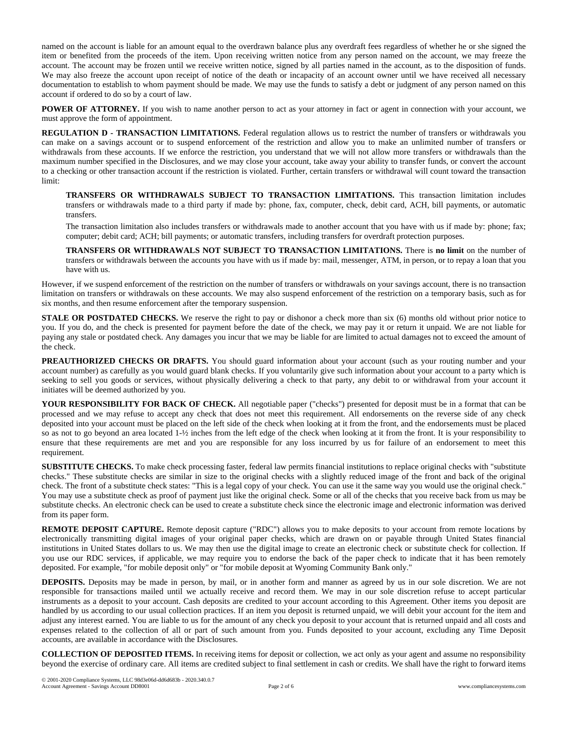named on the account is liable for an amount equal to the overdrawn balance plus any overdraft fees regardless of whether he or she signed the item or benefited from the proceeds of the item. Upon receiving written notice from any person named on the account, we may freeze the account. The account may be frozen until we receive written notice, signed by all parties named in the account, as to the disposition of funds. We may also freeze the account upon receipt of notice of the death or incapacity of an account owner until we have received all necessary documentation to establish to whom payment should be made. We may use the funds to satisfy a debt or judgment of any person named on this account if ordered to do so by a court of law.

**POWER OF ATTORNEY.** If you wish to name another person to act as your attorney in fact or agent in connection with your account, we must approve the form of appointment.

**REGULATION D - TRANSACTION LIMITATIONS.** Federal regulation allows us to restrict the number of transfers or withdrawals you can make on a savings account or to suspend enforcement of the restriction and allow you to make an unlimited number of transfers or withdrawals from these accounts. If we enforce the restriction, you understand that we will not allow more transfers or withdrawals than the maximum number specified in the Disclosures, and we may close your account, take away your ability to transfer funds, or convert the account to a checking or other transaction account if the restriction is violated. Further, certain transfers or withdrawal will count toward the transaction limit:

**TRANSFERS OR WITHDRAWALS SUBJECT TO TRANSACTION LIMITATIONS.** This transaction limitation includes transfers or withdrawals made to a third party if made by: phone, fax, computer, check, debit card, ACH, bill payments, or automatic transfers.

The transaction limitation also includes transfers or withdrawals made to another account that you have with us if made by: phone; fax; computer; debit card; ACH; bill payments; or automatic transfers, including transfers for overdraft protection purposes.

**TRANSFERS OR WITHDRAWALS NOT SUBJECT TO TRANSACTION LIMITATIONS.** There is **no limit** on the number of transfers or withdrawals between the accounts you have with us if made by: mail, messenger, ATM, in person, or to repay a loan that you have with us.

However, if we suspend enforcement of the restriction on the number of transfers or withdrawals on your savings account, there is no transaction limitation on transfers or withdrawals on these accounts. We may also suspend enforcement of the restriction on a temporary basis, such as for six months, and then resume enforcement after the temporary suspension.

**STALE OR POSTDATED CHECKS.** We reserve the right to pay or dishonor a check more than six (6) months old without prior notice to you. If you do, and the check is presented for payment before the date of the check, we may pay it or return it unpaid. We are not liable for paying any stale or postdated check. Any damages you incur that we may be liable for are limited to actual damages not to exceed the amount of the check.

**PREAUTHORIZED CHECKS OR DRAFTS.** You should guard information about your account (such as your routing number and your account number) as carefully as you would guard blank checks. If you voluntarily give such information about your account to a party which is seeking to sell you goods or services, without physically delivering a check to that party, any debit to or withdrawal from your account it initiates will be deemed authorized by you.

**YOUR RESPONSIBILITY FOR BACK OF CHECK.** All negotiable paper ("checks") presented for deposit must be in a format that can be processed and we may refuse to accept any check that does not meet this requirement. All endorsements on the reverse side of any check deposited into your account must be placed on the left side of the check when looking at it from the front, and the endorsements must be placed so as not to go beyond an area located 1-½ inches from the left edge of the check when looking at it from the front. It is your responsibility to ensure that these requirements are met and you are responsible for any loss incurred by us for failure of an endorsement to meet this requirement.

**SUBSTITUTE CHECKS.** To make check processing faster, federal law permits financial institutions to replace original checks with "substitute checks." These substitute checks are similar in size to the original checks with a slightly reduced image of the front and back of the original check. The front of a substitute check states: "This is a legal copy of your check. You can use it the same way you would use the original check." You may use a substitute check as proof of payment just like the original check. Some or all of the checks that you receive back from us may be substitute checks. An electronic check can be used to create a substitute check since the electronic image and electronic information was derived from its paper form.

**REMOTE DEPOSIT CAPTURE.** Remote deposit capture ("RDC") allows you to make deposits to your account from remote locations by electronically transmitting digital images of your original paper checks, which are drawn on or payable through United States financial institutions in United States dollars to us. We may then use the digital image to create an electronic check or substitute check for collection. If you use our RDC services, if applicable, we may require you to endorse the back of the paper check to indicate that it has been remotely deposited. For example, "for mobile deposit only" or "for mobile deposit at Wyoming Community Bank only."

**DEPOSITS.** Deposits may be made in person, by mail, or in another form and manner as agreed by us in our sole discretion. We are not responsible for transactions mailed until we actually receive and record them. We may in our sole discretion refuse to accept particular instruments as a deposit to your account. Cash deposits are credited to your account according to this Agreement. Other items you deposit are handled by us according to our usual collection practices. If an item you deposit is returned unpaid, we will debit your account for the item and adjust any interest earned. You are liable to us for the amount of any check you deposit to your account that is returned unpaid and all costs and expenses related to the collection of all or part of such amount from you. Funds deposited to your account, excluding any Time Deposit accounts, are available in accordance with the Disclosures.

**COLLECTION OF DEPOSITED ITEMS.** In receiving items for deposit or collection, we act only as your agent and assume no responsibility beyond the exercise of ordinary care. All items are credited subject to final settlement in cash or credits. We shall have the right to forward items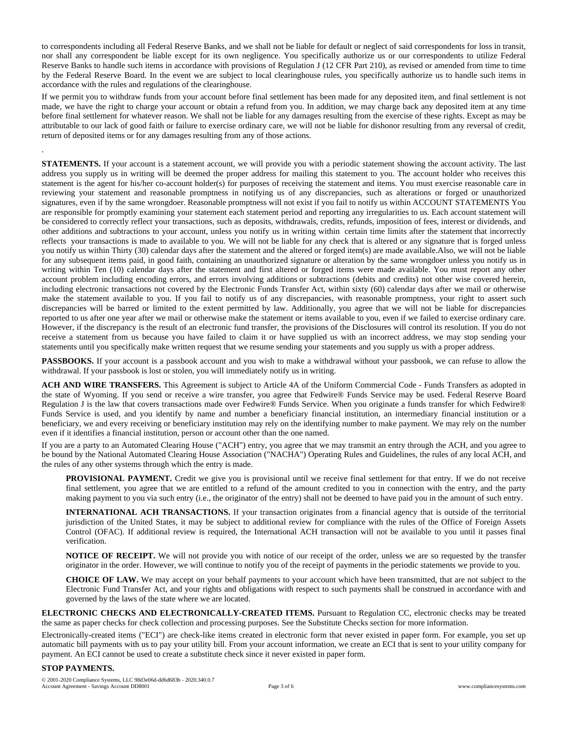to correspondents including all Federal Reserve Banks, and we shall not be liable for default or neglect of said correspondents for loss in transit, nor shall any correspondent be liable except for its own negligence. You specifically authorize us or our correspondents to utilize Federal Reserve Banks to handle such items in accordance with provisions of Regulation J (12 CFR Part 210), as revised or amended from time to time by the Federal Reserve Board. In the event we are subject to local clearinghouse rules, you specifically authorize us to handle such items in accordance with the rules and regulations of the clearinghouse.

If we permit you to withdraw funds from your account before final settlement has been made for any deposited item, and final settlement is not made, we have the right to charge your account or obtain a refund from you. In addition, we may charge back any deposited item at any time before final settlement for whatever reason. We shall not be liable for any damages resulting from the exercise of these rights. Except as may be attributable to our lack of good faith or failure to exercise ordinary care, we will not be liable for dishonor resulting from any reversal of credit, return of deposited items or for any damages resulting from any of those actions.

**STATEMENTS.** If your account is a statement account, we will provide you with a periodic statement showing the account activity. The last address you supply us in writing will be deemed the proper address for mailing this statement to you. The account holder who receives this statement is the agent for his/her co-account holder(s) for purposes of receiving the statement and items. You must exercise reasonable care in reviewing your statement and reasonable promptness in notifying us of any discrepancies, such as alterations or forged or unauthorized signatures, even if by the same wrongdoer. Reasonable promptness will not exist if you fail to notify us within ACCOUNT STATEMENTS You are responsible for promptly examining your statement each statement period and reporting any irregularities to us. Each account statement will be considered to correctly reflect your transactions, such as deposits, withdrawals, credits, refunds, imposition of fees, interest or dividends, and other additions and subtractions to your account, unless you notify us in writing within certain time limits after the statement that incorrectly reflects your transactions is made to available to you. We will not be liable for any check that is altered or any signature that is forged unless you notify us within Thirty (30) calendar days after the statement and the altered or forged item(s) are made available.Also, we will not be liable for any subsequent items paid, in good faith, containing an unauthorized signature or alteration by the same wrongdoer unless you notify us in writing within Ten (10) calendar days after the statement and first altered or forged items were made available. You must report any other account problem including encoding errors, and errors involving additions or subtractions (debits and credits) not other wise covered herein, including electronic transactions not covered by the Electronic Funds Transfer Act, within sixty (60) calendar days after we mail or otherwise make the statement available to you. If you fail to notify us of any discrepancies, with reasonable promptness, your right to assert such discrepancies will be barred or limited to the extent permitted by law. Additionally, you agree that we will not be liable for discrepancies reported to us after one year after we mail or otherwise make the statement or items available to you, even if we failed to exercise ordinary care. However, if the discrepancy is the result of an electronic fund transfer, the provisions of the Disclosures will control its resolution. If you do not receive a statement from us because you have failed to claim it or have supplied us with an incorrect address, we may stop sending your statements until you specifically make written request that we resume sending your statements and you supply us with a proper address.

PASSBOOKS. If your account is a passbook account and you wish to make a withdrawal without your passbook, we can refuse to allow the withdrawal. If your passbook is lost or stolen, you will immediately notify us in writing.

**ACH AND WIRE TRANSFERS.** This Agreement is subject to Article 4A of the Uniform Commercial Code - Funds Transfers as adopted in the state of Wyoming. If you send or receive a wire transfer, you agree that Fedwire® Funds Service may be used. Federal Reserve Board Regulation J is the law that covers transactions made over Fedwire® Funds Service. When you originate a funds transfer for which Fedwire® Funds Service is used, and you identify by name and number a beneficiary financial institution, an intermediary financial institution or a beneficiary, we and every receiving or beneficiary institution may rely on the identifying number to make payment. We may rely on the number even if it identifies a financial institution, person or account other than the one named.

If you are a party to an Automated Clearing House ("ACH") entry, you agree that we may transmit an entry through the ACH, and you agree to be bound by the National Automated Clearing House Association ("NACHA") Operating Rules and Guidelines, the rules of any local ACH, and the rules of any other systems through which the entry is made.

**PROVISIONAL PAYMENT.** Credit we give you is provisional until we receive final settlement for that entry. If we do not receive final settlement, you agree that we are entitled to a refund of the amount credited to you in connection with the entry, and the party making payment to you via such entry (i.e., the originator of the entry) shall not be deemed to have paid you in the amount of such entry.

**INTERNATIONAL ACH TRANSACTIONS.** If your transaction originates from a financial agency that is outside of the territorial jurisdiction of the United States, it may be subject to additional review for compliance with the rules of the Office of Foreign Assets Control (OFAC). If additional review is required, the International ACH transaction will not be available to you until it passes final verification.

**NOTICE OF RECEIPT.** We will not provide you with notice of our receipt of the order, unless we are so requested by the transfer originator in the order. However, we will continue to notify you of the receipt of payments in the periodic statements we provide to you.

**CHOICE OF LAW.** We may accept on your behalf payments to your account which have been transmitted, that are not subject to the Electronic Fund Transfer Act, and your rights and obligations with respect to such payments shall be construed in accordance with and governed by the laws of the state where we are located.

**ELECTRONIC CHECKS AND ELECTRONICALLY-CREATED ITEMS.** Pursuant to Regulation CC, electronic checks may be treated the same as paper checks for check collection and processing purposes. See the Substitute Checks section for more information.

Electronically-created items ("ECI") are check-like items created in electronic form that never existed in paper form. For example, you set up automatic bill payments with us to pay your utility bill. From your account information, we create an ECI that is sent to your utility company for payment. An ECI cannot be used to create a substitute check since it never existed in paper form.

## **STOP PAYMENTS.**

.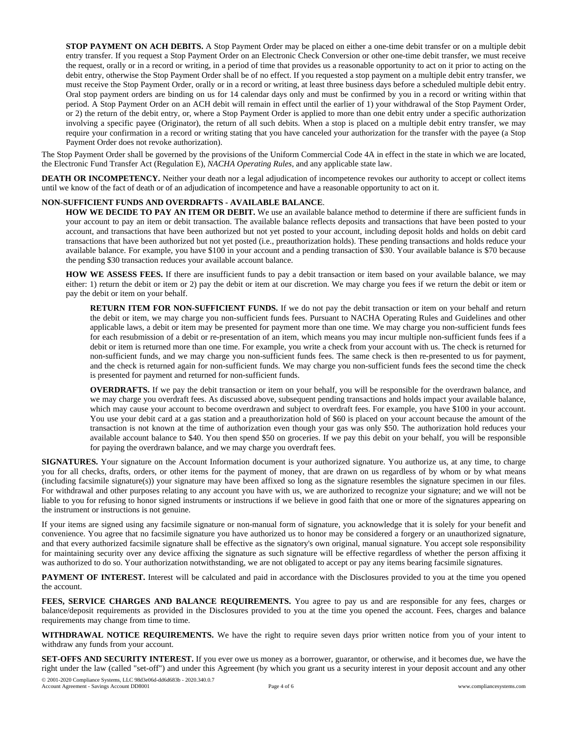**STOP PAYMENT ON ACH DEBITS.** A Stop Payment Order may be placed on either a one-time debit transfer or on a multiple debit entry transfer. If you request a Stop Payment Order on an Electronic Check Conversion or other one-time debit transfer, we must receive the request, orally or in a record or writing, in a period of time that provides us a reasonable opportunity to act on it prior to acting on the debit entry, otherwise the Stop Payment Order shall be of no effect. If you requested a stop payment on a multiple debit entry transfer, we must receive the Stop Payment Order, orally or in a record or writing, at least three business days before a scheduled multiple debit entry. Oral stop payment orders are binding on us for 14 calendar days only and must be confirmed by you in a record or writing within that period. A Stop Payment Order on an ACH debit will remain in effect until the earlier of 1) your withdrawal of the Stop Payment Order, or 2) the return of the debit entry, or, where a Stop Payment Order is applied to more than one debit entry under a specific authorization involving a specific payee (Originator), the return of all such debits. When a stop is placed on a multiple debit entry transfer, we may require your confirmation in a record or writing stating that you have canceled your authorization for the transfer with the payee (a Stop Payment Order does not revoke authorization).

The Stop Payment Order shall be governed by the provisions of the Uniform Commercial Code 4A in effect in the state in which we are located, the Electronic Fund Transfer Act (Regulation E), *NACHA Operating Rules*, and any applicable state law.

**DEATH OR INCOMPETENCY.** Neither your death nor a legal adjudication of incompetence revokes our authority to accept or collect items until we know of the fact of death or of an adjudication of incompetence and have a reasonable opportunity to act on it.

## **NON-SUFFICIENT FUNDS AND OVERDRAFTS - AVAILABLE BALANCE**.

**HOW WE DECIDE TO PAY AN ITEM OR DEBIT.** We use an available balance method to determine if there are sufficient funds in your account to pay an item or debit transaction. The available balance reflects deposits and transactions that have been posted to your account, and transactions that have been authorized but not yet posted to your account, including deposit holds and holds on debit card transactions that have been authorized but not yet posted (i.e., preauthorization holds). These pending transactions and holds reduce your available balance. For example, you have \$100 in your account and a pending transaction of \$30. Your available balance is \$70 because the pending \$30 transaction reduces your available account balance.

**HOW WE ASSESS FEES.** If there are insufficient funds to pay a debit transaction or item based on your available balance, we may either: 1) return the debit or item or 2) pay the debit or item at our discretion. We may charge you fees if we return the debit or item or pay the debit or item on your behalf.

**RETURN ITEM FOR NON-SUFFICIENT FUNDS.** If we do not pay the debit transaction or item on your behalf and return the debit or item, we may charge you non-sufficient funds fees. Pursuant to NACHA Operating Rules and Guidelines and other applicable laws, a debit or item may be presented for payment more than one time. We may charge you non-sufficient funds fees for each resubmission of a debit or re-presentation of an item, which means you may incur multiple non-sufficient funds fees if a debit or item is returned more than one time. For example, you write a check from your account with us. The check is returned for non-sufficient funds, and we may charge you non-sufficient funds fees. The same check is then re-presented to us for payment, and the check is returned again for non-sufficient funds. We may charge you non-sufficient funds fees the second time the check is presented for payment and returned for non-sufficient funds.

**OVERDRAFTS.** If we pay the debit transaction or item on your behalf, you will be responsible for the overdrawn balance, and we may charge you overdraft fees. As discussed above, subsequent pending transactions and holds impact your available balance, which may cause your account to become overdrawn and subject to overdraft fees. For example, you have \$100 in your account. You use your debit card at a gas station and a preauthorization hold of \$60 is placed on your account because the amount of the transaction is not known at the time of authorization even though your gas was only \$50. The authorization hold reduces your available account balance to \$40. You then spend \$50 on groceries. If we pay this debit on your behalf, you will be responsible for paying the overdrawn balance, and we may charge you overdraft fees.

**SIGNATURES.** Your signature on the Account Information document is your authorized signature. You authorize us, at any time, to charge you for all checks, drafts, orders, or other items for the payment of money, that are drawn on us regardless of by whom or by what means (including facsimile signature(s)) your signature may have been affixed so long as the signature resembles the signature specimen in our files. For withdrawal and other purposes relating to any account you have with us, we are authorized to recognize your signature; and we will not be liable to you for refusing to honor signed instruments or instructions if we believe in good faith that one or more of the signatures appearing on the instrument or instructions is not genuine.

If your items are signed using any facsimile signature or non-manual form of signature, you acknowledge that it is solely for your benefit and convenience. You agree that no facsimile signature you have authorized us to honor may be considered a forgery or an unauthorized signature, and that every authorized facsimile signature shall be effective as the signatory's own original, manual signature. You accept sole responsibility for maintaining security over any device affixing the signature as such signature will be effective regardless of whether the person affixing it was authorized to do so. Your authorization notwithstanding, we are not obligated to accept or pay any items bearing facsimile signatures.

**PAYMENT OF INTEREST.** Interest will be calculated and paid in accordance with the Disclosures provided to you at the time you opened the account.

**FEES, SERVICE CHARGES AND BALANCE REQUIREMENTS.** You agree to pay us and are responsible for any fees, charges or balance/deposit requirements as provided in the Disclosures provided to you at the time you opened the account. Fees, charges and balance requirements may change from time to time.

**WITHDRAWAL NOTICE REQUIREMENTS.** We have the right to require seven days prior written notice from you of your intent to withdraw any funds from your account.

**SET-OFFS AND SECURITY INTEREST.** If you ever owe us money as a borrower, guarantor, or otherwise, and it becomes due, we have the right under the law (called "set-off") and under this Agreement (by which you grant us a security interest in your deposit account and any other © 2001-2020 Compliance Systems, LLC 98d3e06d-dd6d683b - 2020.340.0.7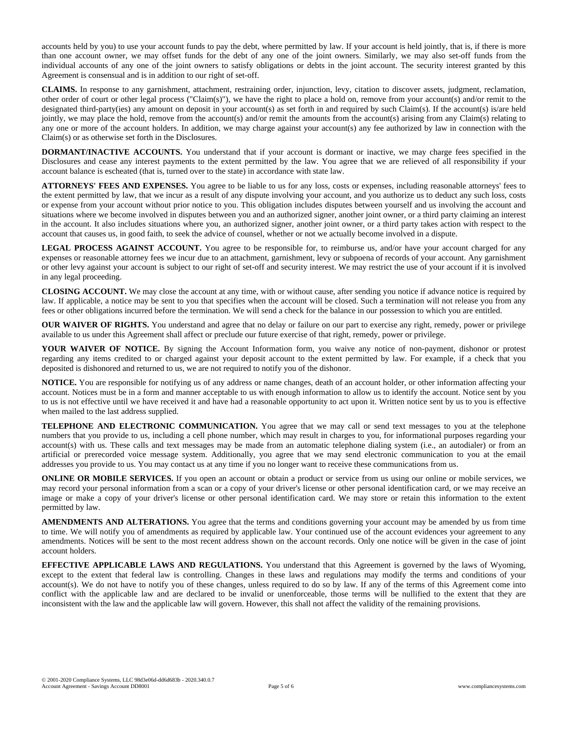accounts held by you) to use your account funds to pay the debt, where permitted by law. If your account is held jointly, that is, if there is more than one account owner, we may offset funds for the debt of any one of the joint owners. Similarly, we may also set-off funds from the individual accounts of any one of the joint owners to satisfy obligations or debts in the joint account. The security interest granted by this Agreement is consensual and is in addition to our right of set-off.

**CLAIMS.** In response to any garnishment, attachment, restraining order, injunction, levy, citation to discover assets, judgment, reclamation, other order of court or other legal process ("Claim(s)"), we have the right to place a hold on, remove from your account(s) and/or remit to the designated third-party(ies) any amount on deposit in your account(s) as set forth in and required by such Claim(s). If the account(s) is/are held jointly, we may place the hold, remove from the account(s) and/or remit the amounts from the account(s) arising from any Claim(s) relating to any one or more of the account holders. In addition, we may charge against your account(s) any fee authorized by law in connection with the Claim(s) or as otherwise set forth in the Disclosures.

**DORMANT/INACTIVE ACCOUNTS.** You understand that if your account is dormant or inactive, we may charge fees specified in the Disclosures and cease any interest payments to the extent permitted by the law. You agree that we are relieved of all responsibility if your account balance is escheated (that is, turned over to the state) in accordance with state law.

**ATTORNEYS' FEES AND EXPENSES.** You agree to be liable to us for any loss, costs or expenses, including reasonable attorneys' fees to the extent permitted by law, that we incur as a result of any dispute involving your account, and you authorize us to deduct any such loss, costs or expense from your account without prior notice to you. This obligation includes disputes between yourself and us involving the account and situations where we become involved in disputes between you and an authorized signer, another joint owner, or a third party claiming an interest in the account. It also includes situations where you, an authorized signer, another joint owner, or a third party takes action with respect to the account that causes us, in good faith, to seek the advice of counsel, whether or not we actually become involved in a dispute.

**LEGAL PROCESS AGAINST ACCOUNT.** You agree to be responsible for, to reimburse us, and/or have your account charged for any expenses or reasonable attorney fees we incur due to an attachment, garnishment, levy or subpoena of records of your account. Any garnishment or other levy against your account is subject to our right of set-off and security interest. We may restrict the use of your account if it is involved in any legal proceeding.

**CLOSING ACCOUNT.** We may close the account at any time, with or without cause, after sending you notice if advance notice is required by law. If applicable, a notice may be sent to you that specifies when the account will be closed. Such a termination will not release you from any fees or other obligations incurred before the termination. We will send a check for the balance in our possession to which you are entitled.

**OUR WAIVER OF RIGHTS.** You understand and agree that no delay or failure on our part to exercise any right, remedy, power or privilege available to us under this Agreement shall affect or preclude our future exercise of that right, remedy, power or privilege.

**YOUR WAIVER OF NOTICE.** By signing the Account Information form, you waive any notice of non-payment, dishonor or protest regarding any items credited to or charged against your deposit account to the extent permitted by law. For example, if a check that you deposited is dishonored and returned to us, we are not required to notify you of the dishonor.

**NOTICE.** You are responsible for notifying us of any address or name changes, death of an account holder, or other information affecting your account. Notices must be in a form and manner acceptable to us with enough information to allow us to identify the account. Notice sent by you to us is not effective until we have received it and have had a reasonable opportunity to act upon it. Written notice sent by us to you is effective when mailed to the last address supplied.

**TELEPHONE AND ELECTRONIC COMMUNICATION.** You agree that we may call or send text messages to you at the telephone numbers that you provide to us, including a cell phone number, which may result in charges to you, for informational purposes regarding your account(s) with us. These calls and text messages may be made from an automatic telephone dialing system (i.e., an autodialer) or from an artificial or prerecorded voice message system. Additionally, you agree that we may send electronic communication to you at the email addresses you provide to us. You may contact us at any time if you no longer want to receive these communications from us.

**ONLINE OR MOBILE SERVICES.** If you open an account or obtain a product or service from us using our online or mobile services, we may record your personal information from a scan or a copy of your driver's license or other personal identification card, or we may receive an image or make a copy of your driver's license or other personal identification card. We may store or retain this information to the extent permitted by law.

**AMENDMENTS AND ALTERATIONS.** You agree that the terms and conditions governing your account may be amended by us from time to time. We will notify you of amendments as required by applicable law. Your continued use of the account evidences your agreement to any amendments. Notices will be sent to the most recent address shown on the account records. Only one notice will be given in the case of joint account holders.

**EFFECTIVE APPLICABLE LAWS AND REGULATIONS.** You understand that this Agreement is governed by the laws of Wyoming, except to the extent that federal law is controlling. Changes in these laws and regulations may modify the terms and conditions of your account(s). We do not have to notify you of these changes, unless required to do so by law. If any of the terms of this Agreement come into conflict with the applicable law and are declared to be invalid or unenforceable, those terms will be nullified to the extent that they are inconsistent with the law and the applicable law will govern. However, this shall not affect the validity of the remaining provisions.